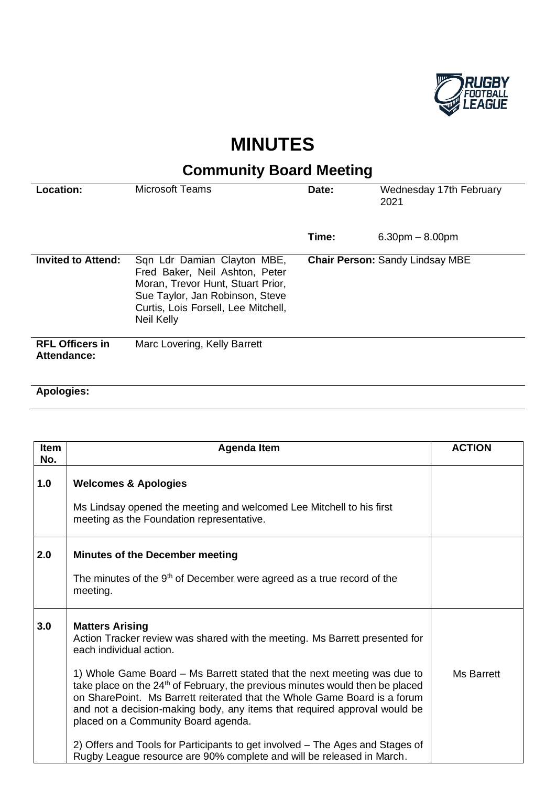

## **MINUTES**

## **Community Board Meeting**

| Location:                             | <b>Microsoft Teams</b>                                                                                                                                                                     | Date: | Wednesday 17th February<br>2021        |
|---------------------------------------|--------------------------------------------------------------------------------------------------------------------------------------------------------------------------------------------|-------|----------------------------------------|
|                                       |                                                                                                                                                                                            | Time: | $6.30pm - 8.00pm$                      |
| <b>Invited to Attend:</b>             | Sqn Ldr Damian Clayton MBE,<br>Fred Baker, Neil Ashton, Peter<br>Moran, Trevor Hunt, Stuart Prior,<br>Sue Taylor, Jan Robinson, Steve<br>Curtis, Lois Forsell, Lee Mitchell,<br>Neil Kelly |       | <b>Chair Person: Sandy Lindsay MBE</b> |
| <b>RFL Officers in</b><br>Attendance: | Marc Lovering, Kelly Barrett                                                                                                                                                               |       |                                        |

## **Apologies:**

| Item<br>No. | <b>Agenda Item</b>                                                                                                                                                                                                                                                                                                                                                     | <b>ACTION</b>     |
|-------------|------------------------------------------------------------------------------------------------------------------------------------------------------------------------------------------------------------------------------------------------------------------------------------------------------------------------------------------------------------------------|-------------------|
| 1.0         | <b>Welcomes &amp; Apologies</b>                                                                                                                                                                                                                                                                                                                                        |                   |
|             | Ms Lindsay opened the meeting and welcomed Lee Mitchell to his first<br>meeting as the Foundation representative.                                                                                                                                                                                                                                                      |                   |
| 2.0         | <b>Minutes of the December meeting</b>                                                                                                                                                                                                                                                                                                                                 |                   |
|             | The minutes of the $9th$ of December were agreed as a true record of the<br>meeting.                                                                                                                                                                                                                                                                                   |                   |
| 3.0         | <b>Matters Arising</b><br>Action Tracker review was shared with the meeting. Ms Barrett presented for<br>each individual action.                                                                                                                                                                                                                                       |                   |
|             | 1) Whole Game Board – Ms Barrett stated that the next meeting was due to<br>take place on the 24 <sup>th</sup> of February, the previous minutes would then be placed<br>on SharePoint. Ms Barrett reiterated that the Whole Game Board is a forum<br>and not a decision-making body, any items that required approval would be<br>placed on a Community Board agenda. | <b>Ms Barrett</b> |
|             | 2) Offers and Tools for Participants to get involved – The Ages and Stages of<br>Rugby League resource are 90% complete and will be released in March.                                                                                                                                                                                                                 |                   |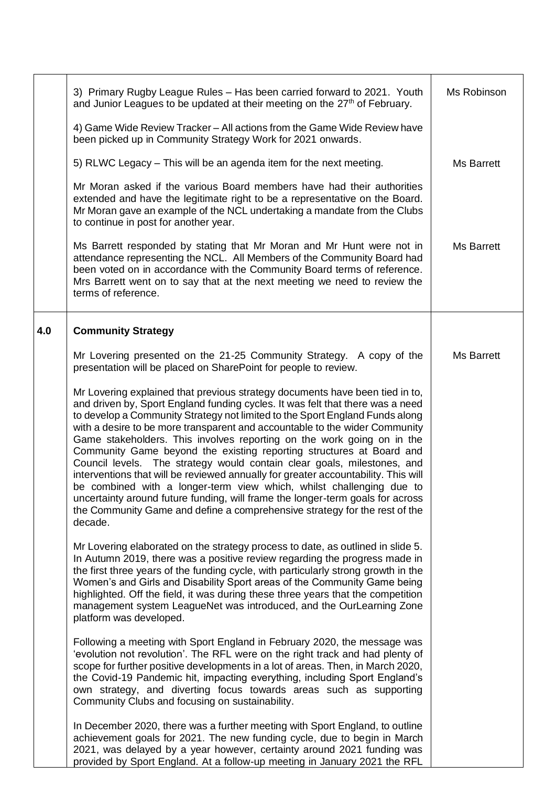|     | 3) Primary Rugby League Rules - Has been carried forward to 2021. Youth<br>and Junior Leagues to be updated at their meeting on the 27 <sup>th</sup> of February.                                                                                                                                                                                                                                                                                                                                                                                                                                                                                                                                                                                                                                                                                                                                   | Ms Robinson       |
|-----|-----------------------------------------------------------------------------------------------------------------------------------------------------------------------------------------------------------------------------------------------------------------------------------------------------------------------------------------------------------------------------------------------------------------------------------------------------------------------------------------------------------------------------------------------------------------------------------------------------------------------------------------------------------------------------------------------------------------------------------------------------------------------------------------------------------------------------------------------------------------------------------------------------|-------------------|
|     | 4) Game Wide Review Tracker - All actions from the Game Wide Review have<br>been picked up in Community Strategy Work for 2021 onwards.                                                                                                                                                                                                                                                                                                                                                                                                                                                                                                                                                                                                                                                                                                                                                             |                   |
|     | 5) RLWC Legacy – This will be an agenda item for the next meeting.                                                                                                                                                                                                                                                                                                                                                                                                                                                                                                                                                                                                                                                                                                                                                                                                                                  | Ms Barrett        |
|     | Mr Moran asked if the various Board members have had their authorities<br>extended and have the legitimate right to be a representative on the Board.<br>Mr Moran gave an example of the NCL undertaking a mandate from the Clubs<br>to continue in post for another year.                                                                                                                                                                                                                                                                                                                                                                                                                                                                                                                                                                                                                          |                   |
|     | Ms Barrett responded by stating that Mr Moran and Mr Hunt were not in<br>attendance representing the NCL. All Members of the Community Board had<br>been voted on in accordance with the Community Board terms of reference.<br>Mrs Barrett went on to say that at the next meeting we need to review the<br>terms of reference.                                                                                                                                                                                                                                                                                                                                                                                                                                                                                                                                                                    | <b>Ms Barrett</b> |
| 4.0 | <b>Community Strategy</b>                                                                                                                                                                                                                                                                                                                                                                                                                                                                                                                                                                                                                                                                                                                                                                                                                                                                           |                   |
|     | Mr Lovering presented on the 21-25 Community Strategy. A copy of the<br>presentation will be placed on SharePoint for people to review.                                                                                                                                                                                                                                                                                                                                                                                                                                                                                                                                                                                                                                                                                                                                                             | Ms Barrett        |
|     | Mr Lovering explained that previous strategy documents have been tied in to,<br>and driven by, Sport England funding cycles. It was felt that there was a need<br>to develop a Community Strategy not limited to the Sport England Funds along<br>with a desire to be more transparent and accountable to the wider Community<br>Game stakeholders. This involves reporting on the work going on in the<br>Community Game beyond the existing reporting structures at Board and<br>Council levels. The strategy would contain clear goals, milestones, and<br>interventions that will be reviewed annually for greater accountability. This will<br>be combined with a longer-term view which, whilst challenging due to<br>uncertainty around future funding, will frame the longer-term goals for across<br>the Community Game and define a comprehensive strategy for the rest of the<br>decade. |                   |
|     | Mr Lovering elaborated on the strategy process to date, as outlined in slide 5.<br>In Autumn 2019, there was a positive review regarding the progress made in<br>the first three years of the funding cycle, with particularly strong growth in the<br>Women's and Girls and Disability Sport areas of the Community Game being<br>highlighted. Off the field, it was during these three years that the competition<br>management system LeagueNet was introduced, and the OurLearning Zone<br>platform was developed.                                                                                                                                                                                                                                                                                                                                                                              |                   |
|     | Following a meeting with Sport England in February 2020, the message was<br>'evolution not revolution'. The RFL were on the right track and had plenty of<br>scope for further positive developments in a lot of areas. Then, in March 2020,<br>the Covid-19 Pandemic hit, impacting everything, including Sport England's<br>own strategy, and diverting focus towards areas such as supporting<br>Community Clubs and focusing on sustainability.                                                                                                                                                                                                                                                                                                                                                                                                                                                 |                   |
|     | In December 2020, there was a further meeting with Sport England, to outline<br>achievement goals for 2021. The new funding cycle, due to begin in March<br>2021, was delayed by a year however, certainty around 2021 funding was<br>provided by Sport England. At a follow-up meeting in January 2021 the RFL                                                                                                                                                                                                                                                                                                                                                                                                                                                                                                                                                                                     |                   |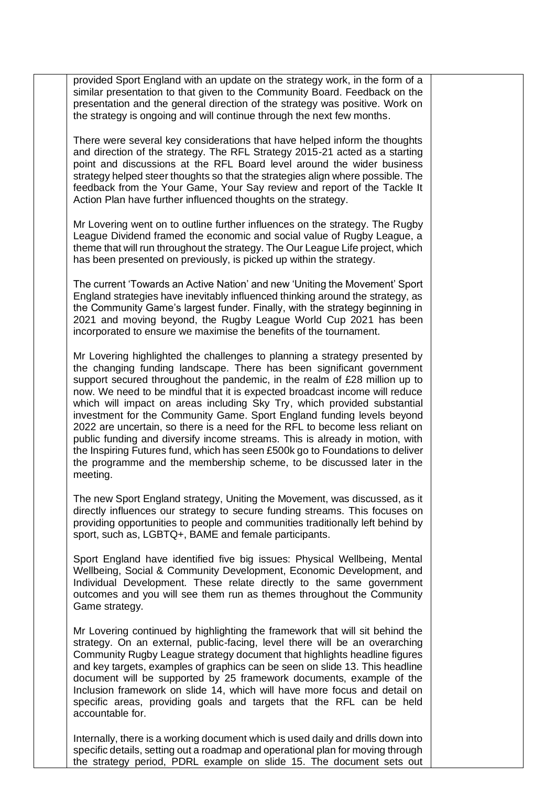provided Sport England with an update on the strategy work, in the form of a similar presentation to that given to the Community Board. Feedback on the presentation and the general direction of the strategy was positive. Work on the strategy is ongoing and will continue through the next few months.

There were several key considerations that have helped inform the thoughts and direction of the strategy. The RFL Strategy 2015-21 acted as a starting point and discussions at the RFL Board level around the wider business strategy helped steer thoughts so that the strategies align where possible. The feedback from the Your Game, Your Say review and report of the Tackle It Action Plan have further influenced thoughts on the strategy.

Mr Lovering went on to outline further influences on the strategy. The Rugby League Dividend framed the economic and social value of Rugby League, a theme that will run throughout the strategy. The Our League Life project, which has been presented on previously, is picked up within the strategy.

The current 'Towards an Active Nation' and new 'Uniting the Movement' Sport England strategies have inevitably influenced thinking around the strategy, as the Community Game's largest funder. Finally, with the strategy beginning in 2021 and moving beyond, the Rugby League World Cup 2021 has been incorporated to ensure we maximise the benefits of the tournament.

Mr Lovering highlighted the challenges to planning a strategy presented by the changing funding landscape. There has been significant government support secured throughout the pandemic, in the realm of £28 million up to now. We need to be mindful that it is expected broadcast income will reduce which will impact on areas including Sky Try, which provided substantial investment for the Community Game. Sport England funding levels beyond 2022 are uncertain, so there is a need for the RFL to become less reliant on public funding and diversify income streams. This is already in motion, with the Inspiring Futures fund, which has seen £500k go to Foundations to deliver the programme and the membership scheme, to be discussed later in the meeting.

The new Sport England strategy, Uniting the Movement, was discussed, as it directly influences our strategy to secure funding streams. This focuses on providing opportunities to people and communities traditionally left behind by sport, such as, LGBTQ+, BAME and female participants.

Sport England have identified five big issues: Physical Wellbeing, Mental Wellbeing, Social & Community Development, Economic Development, and Individual Development. These relate directly to the same government outcomes and you will see them run as themes throughout the Community Game strategy.

Mr Lovering continued by highlighting the framework that will sit behind the strategy. On an external, public-facing, level there will be an overarching Community Rugby League strategy document that highlights headline figures and key targets, examples of graphics can be seen on slide 13. This headline document will be supported by 25 framework documents, example of the Inclusion framework on slide 14, which will have more focus and detail on specific areas, providing goals and targets that the RFL can be held accountable for.

Internally, there is a working document which is used daily and drills down into specific details, setting out a roadmap and operational plan for moving through the strategy period, PDRL example on slide 15. The document sets out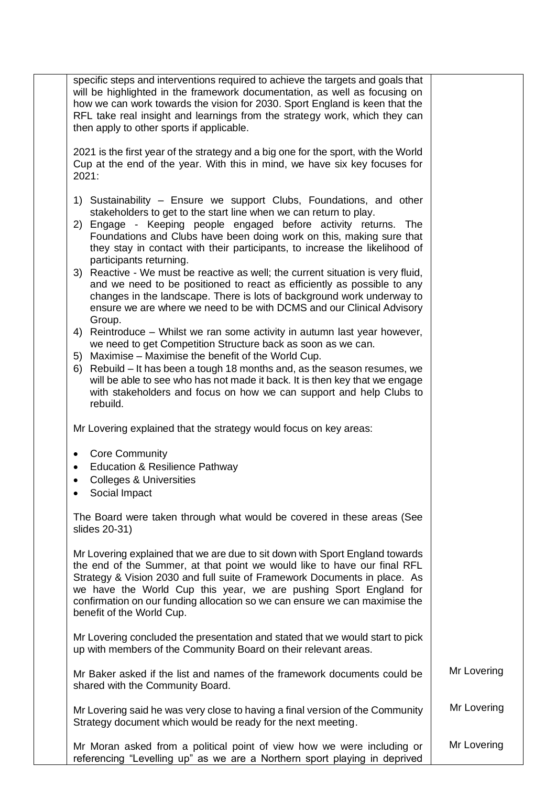| specific steps and interventions required to achieve the targets and goals that<br>will be highlighted in the framework documentation, as well as focusing on<br>how we can work towards the vision for 2030. Sport England is keen that the<br>RFL take real insight and learnings from the strategy work, which they can<br>then apply to other sports if applicable.                                                |             |
|------------------------------------------------------------------------------------------------------------------------------------------------------------------------------------------------------------------------------------------------------------------------------------------------------------------------------------------------------------------------------------------------------------------------|-------------|
| 2021 is the first year of the strategy and a big one for the sport, with the World<br>Cup at the end of the year. With this in mind, we have six key focuses for<br>2021:                                                                                                                                                                                                                                              |             |
| 1) Sustainability – Ensure we support Clubs, Foundations, and other<br>stakeholders to get to the start line when we can return to play.<br>2) Engage - Keeping people engaged before activity returns. The<br>Foundations and Clubs have been doing work on this, making sure that<br>they stay in contact with their participants, to increase the likelihood of                                                     |             |
| participants returning.<br>3) Reactive - We must be reactive as well; the current situation is very fluid,<br>and we need to be positioned to react as efficiently as possible to any<br>changes in the landscape. There is lots of background work underway to<br>ensure we are where we need to be with DCMS and our Clinical Advisory<br>Group.                                                                     |             |
| 4) Reintroduce - Whilst we ran some activity in autumn last year however,<br>we need to get Competition Structure back as soon as we can.                                                                                                                                                                                                                                                                              |             |
| Maximise – Maximise the benefit of the World Cup.<br>5)<br>Rebuild – It has been a tough 18 months and, as the season resumes, we<br>6)<br>will be able to see who has not made it back. It is then key that we engage<br>with stakeholders and focus on how we can support and help Clubs to<br>rebuild.                                                                                                              |             |
| Mr Lovering explained that the strategy would focus on key areas:                                                                                                                                                                                                                                                                                                                                                      |             |
| <b>Core Community</b><br>٠<br><b>Education &amp; Resilience Pathway</b><br><b>Colleges &amp; Universities</b><br>$\bullet$<br>Social Impact                                                                                                                                                                                                                                                                            |             |
| The Board were taken through what would be covered in these areas (See<br>slides 20-31)                                                                                                                                                                                                                                                                                                                                |             |
| Mr Lovering explained that we are due to sit down with Sport England towards<br>the end of the Summer, at that point we would like to have our final RFL<br>Strategy & Vision 2030 and full suite of Framework Documents in place. As<br>we have the World Cup this year, we are pushing Sport England for<br>confirmation on our funding allocation so we can ensure we can maximise the<br>benefit of the World Cup. |             |
| Mr Lovering concluded the presentation and stated that we would start to pick<br>up with members of the Community Board on their relevant areas.                                                                                                                                                                                                                                                                       |             |
| Mr Baker asked if the list and names of the framework documents could be<br>shared with the Community Board.                                                                                                                                                                                                                                                                                                           | Mr Lovering |
| Mr Lovering said he was very close to having a final version of the Community<br>Strategy document which would be ready for the next meeting.                                                                                                                                                                                                                                                                          | Mr Lovering |
| Mr Moran asked from a political point of view how we were including or<br>referencing "Levelling up" as we are a Northern sport playing in deprived                                                                                                                                                                                                                                                                    | Mr Lovering |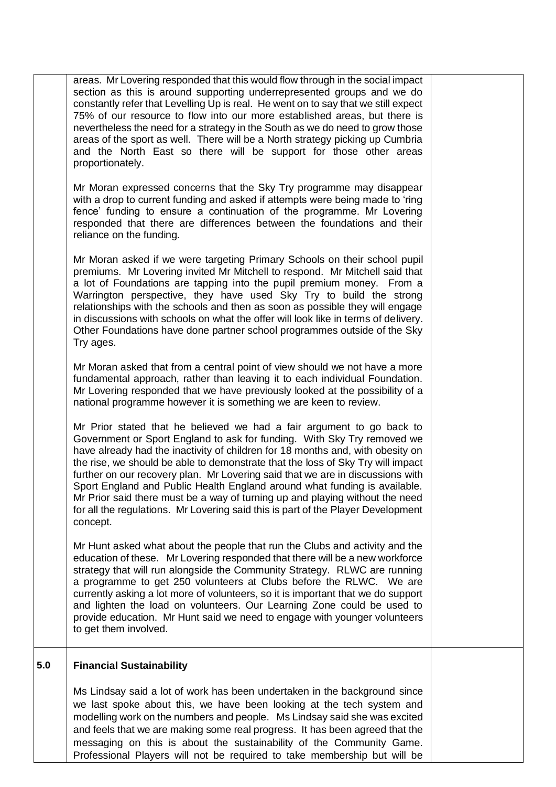|     | areas. Mr Lovering responded that this would flow through in the social impact<br>section as this is around supporting underrepresented groups and we do<br>constantly refer that Levelling Up is real. He went on to say that we still expect<br>75% of our resource to flow into our more established areas, but there is<br>nevertheless the need for a strategy in the South as we do need to grow those<br>areas of the sport as well. There will be a North strategy picking up Cumbria<br>and the North East so there will be support for those other areas<br>proportionately.                                                                               |  |
|-----|----------------------------------------------------------------------------------------------------------------------------------------------------------------------------------------------------------------------------------------------------------------------------------------------------------------------------------------------------------------------------------------------------------------------------------------------------------------------------------------------------------------------------------------------------------------------------------------------------------------------------------------------------------------------|--|
|     | Mr Moran expressed concerns that the Sky Try programme may disappear<br>with a drop to current funding and asked if attempts were being made to 'ring<br>fence' funding to ensure a continuation of the programme. Mr Lovering<br>responded that there are differences between the foundations and their<br>reliance on the funding.                                                                                                                                                                                                                                                                                                                                 |  |
|     | Mr Moran asked if we were targeting Primary Schools on their school pupil<br>premiums. Mr Lovering invited Mr Mitchell to respond. Mr Mitchell said that<br>a lot of Foundations are tapping into the pupil premium money. From a<br>Warrington perspective, they have used Sky Try to build the strong<br>relationships with the schools and then as soon as possible they will engage<br>in discussions with schools on what the offer will look like in terms of delivery.<br>Other Foundations have done partner school programmes outside of the Sky<br>Try ages.                                                                                               |  |
|     | Mr Moran asked that from a central point of view should we not have a more<br>fundamental approach, rather than leaving it to each individual Foundation.<br>Mr Lovering responded that we have previously looked at the possibility of a<br>national programme however it is something we are keen to review.                                                                                                                                                                                                                                                                                                                                                       |  |
|     | Mr Prior stated that he believed we had a fair argument to go back to<br>Government or Sport England to ask for funding. With Sky Try removed we<br>have already had the inactivity of children for 18 months and, with obesity on<br>the rise, we should be able to demonstrate that the loss of Sky Try will impact<br>further on our recovery plan. Mr Lovering said that we are in discussions with<br>Sport England and Public Health England around what funding is available.<br>Mr Prior said there must be a way of turning up and playing without the need<br>for all the regulations. Mr Lovering said this is part of the Player Development<br>concept. |  |
|     | Mr Hunt asked what about the people that run the Clubs and activity and the<br>education of these. Mr Lovering responded that there will be a new workforce<br>strategy that will run alongside the Community Strategy. RLWC are running<br>a programme to get 250 volunteers at Clubs before the RLWC. We are<br>currently asking a lot more of volunteers, so it is important that we do support<br>and lighten the load on volunteers. Our Learning Zone could be used to<br>provide education. Mr Hunt said we need to engage with younger volunteers<br>to get them involved.                                                                                   |  |
| 5.0 | <b>Financial Sustainability</b>                                                                                                                                                                                                                                                                                                                                                                                                                                                                                                                                                                                                                                      |  |
|     | Ms Lindsay said a lot of work has been undertaken in the background since<br>we last spoke about this, we have been looking at the tech system and<br>modelling work on the numbers and people. Ms Lindsay said she was excited<br>and feels that we are making some real progress. It has been agreed that the<br>messaging on this is about the sustainability of the Community Game.<br>Professional Players will not be required to take membership but will be                                                                                                                                                                                                  |  |